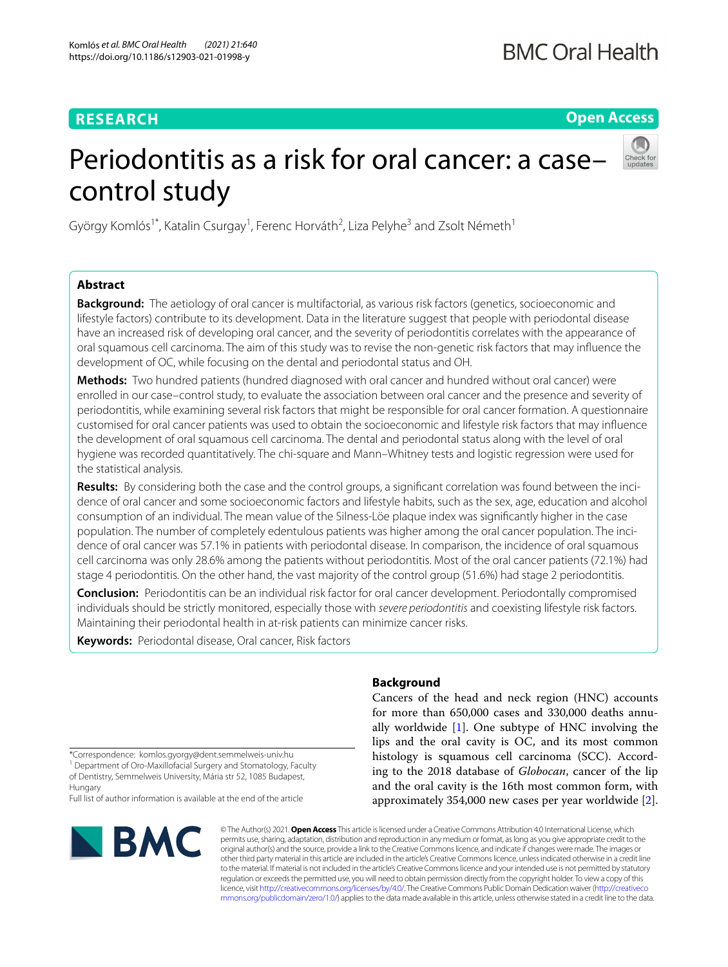## **RESEARCH**

**Open Access**

# Periodontitis as a risk for oral cancer: a case– control study



György Komlós<sup>1\*</sup>, Katalin Csurgay<sup>1</sup>, Ferenc Horváth<sup>2</sup>, Liza Pelyhe<sup>3</sup> and Zsolt Németh<sup>1</sup>

## **Abstract**

**Background:** The aetiology of oral cancer is multifactorial, as various risk factors (genetics, socioeconomic and lifestyle factors) contribute to its development. Data in the literature suggest that people with periodontal disease have an increased risk of developing oral cancer, and the severity of periodontitis correlates with the appearance of oral squamous cell carcinoma. The aim of this study was to revise the non-genetic risk factors that may infuence the development of OC, while focusing on the dental and periodontal status and OH.

**Methods:** Two hundred patients (hundred diagnosed with oral cancer and hundred without oral cancer) were enrolled in our case–control study, to evaluate the association between oral cancer and the presence and severity of periodontitis, while examining several risk factors that might be responsible for oral cancer formation. A questionnaire customised for oral cancer patients was used to obtain the socioeconomic and lifestyle risk factors that may infuence the development of oral squamous cell carcinoma. The dental and periodontal status along with the level of oral hygiene was recorded quantitatively. The chi-square and Mann–Whitney tests and logistic regression were used for the statistical analysis.

**Results:** By considering both the case and the control groups, a signifcant correlation was found between the incidence of oral cancer and some socioeconomic factors and lifestyle habits, such as the sex, age, education and alcohol consumption of an individual. The mean value of the Silness-Löe plaque index was signifcantly higher in the case population. The number of completely edentulous patients was higher among the oral cancer population. The incidence of oral cancer was 57.1% in patients with periodontal disease. In comparison, the incidence of oral squamous cell carcinoma was only 28.6% among the patients without periodontitis. Most of the oral cancer patients (72.1%) had stage 4 periodontitis. On the other hand, the vast majority of the control group (51.6%) had stage 2 periodontitis.

**Conclusion:** Periodontitis can be an individual risk factor for oral cancer development. Periodontally compromised individuals should be strictly monitored, especially those with *severe periodontitis* and coexisting lifestyle risk factors. Maintaining their periodontal health in at-risk patients can minimize cancer risks.

**Keywords:** Periodontal disease, Oral cancer, Risk factors

\*Correspondence: komlos.gyorgy@dent.semmelweis-univ.hu

<sup>1</sup> Department of Oro-Maxillofacial Surgery and Stomatology, Faculty of Dentistry, Semmelweis University, Mária str 52, 1085 Budapest, Hungary

Full list of author information is available at the end of the article



## **Background**

Cancers of the head and neck region (HNC) accounts for more than 650,000 cases and 330,000 deaths annually worldwide [\[1](#page-7-0)]. One subtype of HNC involving the lips and the oral cavity is OC, and its most common histology is squamous cell carcinoma (SCC). According to the 2018 database of *Globocan*, cancer of the lip and the oral cavity is the 16th most common form, with approximately 354,000 new cases per year worldwide [\[2](#page-7-1)].

© The Author(s) 2021. **Open Access** This article is licensed under a Creative Commons Attribution 4.0 International License, which permits use, sharing, adaptation, distribution and reproduction in any medium or format, as long as you give appropriate credit to the original author(s) and the source, provide a link to the Creative Commons licence, and indicate if changes were made. The images or other third party material in this article are included in the article's Creative Commons licence, unless indicated otherwise in a credit line to the material. If material is not included in the article's Creative Commons licence and your intended use is not permitted by statutory regulation or exceeds the permitted use, you will need to obtain permission directly from the copyright holder. To view a copy of this licence, visit [http://creativecommons.org/licenses/by/4.0/.](http://creativecommons.org/licenses/by/4.0/) The Creative Commons Public Domain Dedication waiver ([http://creativeco](http://creativecommons.org/publicdomain/zero/1.0/) [mmons.org/publicdomain/zero/1.0/](http://creativecommons.org/publicdomain/zero/1.0/)) applies to the data made available in this article, unless otherwise stated in a credit line to the data.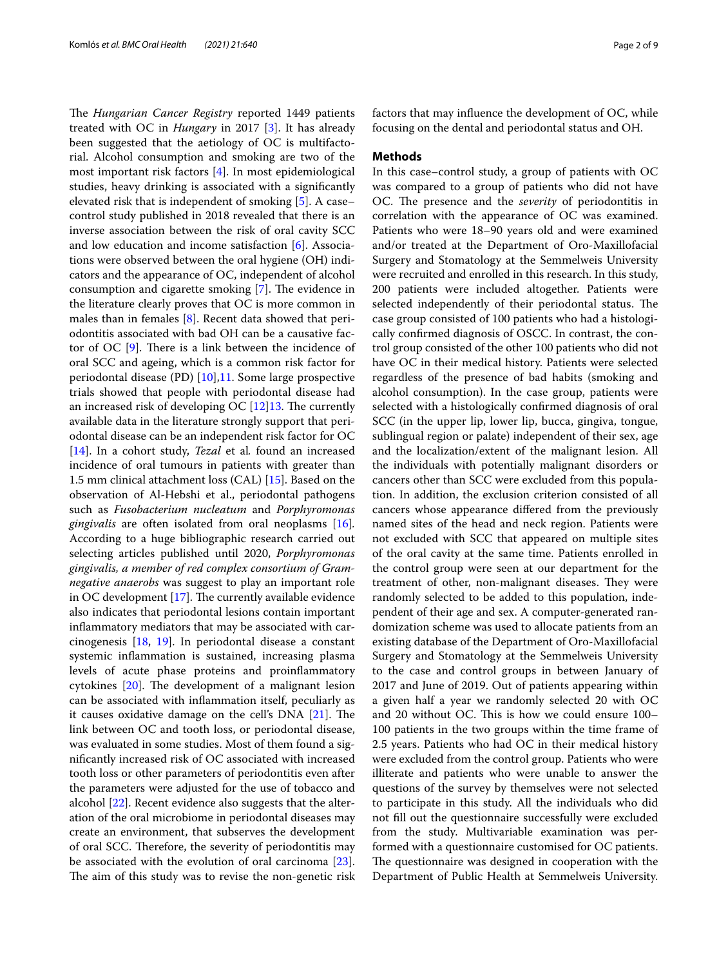The *Hungarian Cancer Registry* reported 1449 patients treated with OC in *Hungary* in 2017 [\[3](#page-7-2)]. It has already been suggested that the aetiology of OC is multifactorial. Alcohol consumption and smoking are two of the most important risk factors [\[4\]](#page-7-3). In most epidemiological studies, heavy drinking is associated with a signifcantly elevated risk that is independent of smoking [[5\]](#page-7-4). A case– control study published in 2018 revealed that there is an inverse association between the risk of oral cavity SCC and low education and income satisfaction [[6\]](#page-7-5). Associations were observed between the oral hygiene (OH) indicators and the appearance of OC, independent of alcohol consumption and cigarette smoking  $[7]$  $[7]$ . The evidence in the literature clearly proves that OC is more common in males than in females [[8\]](#page-7-7). Recent data showed that periodontitis associated with bad OH can be a causative factor of OC  $[9]$  $[9]$ . There is a link between the incidence of oral SCC and ageing, which is a common risk factor for periodontal disease (PD) [[10](#page-7-9)],[11.](#page-7-10) Some large prospective trials showed that people with periodontal disease had an increased risk of developing OC  $[12]13$ . The currently available data in the literature strongly support that periodontal disease can be an independent risk factor for OC [[14\]](#page-7-12). In a cohort study, *Tezal* et al*.* found an increased incidence of oral tumours in patients with greater than 1.5 mm clinical attachment loss (CAL) [[15\]](#page-7-13). Based on the observation of Al-Hebshi et al., periodontal pathogens such as *Fusobacterium nucleatum* and *Porphyromonas gingivalis* are often isolated from oral neoplasms [\[16](#page-7-14)]*.* According to a huge bibliographic research carried out selecting articles published until 2020, *Porphyromonas gingivalis, a member of red complex consortium of Gramnegative anaerobs* was suggest to play an important role in OC development  $[17]$  $[17]$ . The currently available evidence also indicates that periodontal lesions contain important infammatory mediators that may be associated with carcinogenesis [\[18](#page-7-16), [19\]](#page-7-17). In periodontal disease a constant systemic infammation is sustained, increasing plasma levels of acute phase proteins and proinfammatory cytokines  $[20]$  $[20]$ . The development of a malignant lesion can be associated with infammation itself, peculiarly as it causes oxidative damage on the cell's  $DNA$   $[21]$ . The link between OC and tooth loss, or periodontal disease, was evaluated in some studies. Most of them found a signifcantly increased risk of OC associated with increased tooth loss or other parameters of periodontitis even after the parameters were adjusted for the use of tobacco and alcohol [\[22\]](#page-7-20). Recent evidence also suggests that the alteration of the oral microbiome in periodontal diseases may create an environment, that subserves the development of oral SCC. Therefore, the severity of periodontitis may be associated with the evolution of oral carcinoma [\[23](#page-7-21)]. The aim of this study was to revise the non-genetic risk factors that may infuence the development of OC, while focusing on the dental and periodontal status and OH.

#### **Methods**

In this case–control study, a group of patients with OC was compared to a group of patients who did not have OC. The presence and the *severity* of periodontitis in correlation with the appearance of OC was examined. Patients who were 18–90 years old and were examined and/or treated at the Department of Oro-Maxillofacial Surgery and Stomatology at the Semmelweis University were recruited and enrolled in this research. In this study, 200 patients were included altogether. Patients were selected independently of their periodontal status. The case group consisted of 100 patients who had a histologically confrmed diagnosis of OSCC. In contrast, the control group consisted of the other 100 patients who did not have OC in their medical history. Patients were selected regardless of the presence of bad habits (smoking and alcohol consumption). In the case group, patients were selected with a histologically confrmed diagnosis of oral SCC (in the upper lip, lower lip, bucca, gingiva, tongue, sublingual region or palate) independent of their sex, age and the localization/extent of the malignant lesion. All the individuals with potentially malignant disorders or cancers other than SCC were excluded from this population. In addition, the exclusion criterion consisted of all cancers whose appearance difered from the previously named sites of the head and neck region. Patients were not excluded with SCC that appeared on multiple sites of the oral cavity at the same time. Patients enrolled in the control group were seen at our department for the treatment of other, non-malignant diseases. They were randomly selected to be added to this population, independent of their age and sex. A computer-generated randomization scheme was used to allocate patients from an existing database of the Department of Oro-Maxillofacial Surgery and Stomatology at the Semmelweis University to the case and control groups in between January of 2017 and June of 2019. Out of patients appearing within a given half a year we randomly selected 20 with OC and 20 without OC. This is how we could ensure 100– 100 patients in the two groups within the time frame of 2.5 years. Patients who had OC in their medical history were excluded from the control group. Patients who were illiterate and patients who were unable to answer the questions of the survey by themselves were not selected to participate in this study. All the individuals who did not fll out the questionnaire successfully were excluded from the study. Multivariable examination was performed with a questionnaire customised for OC patients. The questionnaire was designed in cooperation with the Department of Public Health at Semmelweis University.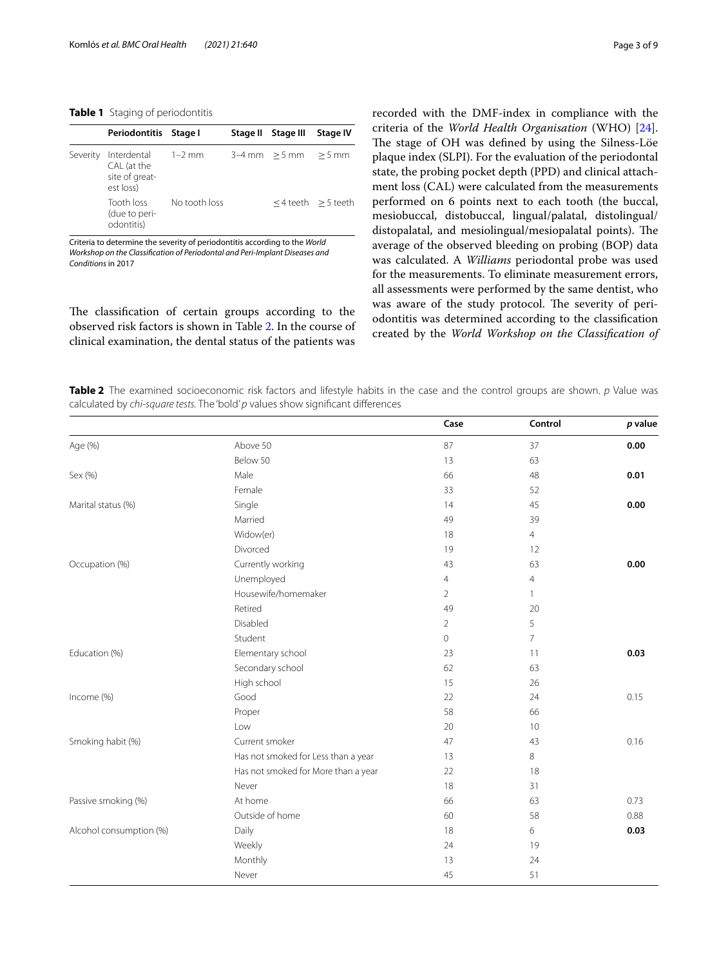#### <span id="page-2-1"></span>**Table 1** Staging of periodontitis

|          | Periodontitis Stage I                                     |               | Stage II | Stage III                | <b>Stage IV</b>         |
|----------|-----------------------------------------------------------|---------------|----------|--------------------------|-------------------------|
| Severity | Interdental<br>CAL (at the<br>site of great-<br>est loss) | $1-2$ mm      |          | $3-4$ mm $>5$ mm $>5$ mm |                         |
|          | Tooth loss<br>(due to peri-<br>odontitis)                 | No tooth loss |          |                          | $<$ 4 teeth $>$ 5 teeth |

Criteria to determine the severity of periodontitis according to the *World Workshop on the Classifcation of Periodontal and Peri-Implant Diseases and Conditions* in 2017

The classification of certain groups according to the observed risk factors is shown in Table [2](#page-2-0). In the course of clinical examination, the dental status of the patients was

recorded with the DMF-index in compliance with the criteria of the *World Health Organisation* (WHO) [\[24](#page-7-22)]. The stage of OH was defined by using the Silness-Löe plaque index (SLPI). For the evaluation of the periodontal state, the probing pocket depth (PPD) and clinical attachment loss (CAL) were calculated from the measurements performed on 6 points next to each tooth (the buccal, mesiobuccal, distobuccal, lingual/palatal, distolingual/ distopalatal, and mesiolingual/mesiopalatal points). The average of the observed bleeding on probing (BOP) data was calculated. A *Williams* periodontal probe was used for the measurements. To eliminate measurement errors, all assessments were performed by the same dentist, who was aware of the study protocol. The severity of periodontitis was determined according to the classifcation created by the *World Workshop on the Classifcation of* 

<span id="page-2-0"></span>**Table 2** The examined socioeconomic risk factors and lifestyle habits in the case and the control groups are shown. *p* Value was calculated by *chi-square tests.* The 'bold' *p* values show signifcant diferences

|                         |                                     | Case           | Control        | p value |
|-------------------------|-------------------------------------|----------------|----------------|---------|
| Age (%)                 | Above 50                            | 87             | 37             | 0.00    |
|                         | Below 50                            | 13             | 63             |         |
| Sex (%)                 | Male                                | 66             | 48             | 0.01    |
|                         | Female                              | 33             | 52             |         |
| Marital status (%)      | Single                              | 14             | 45             | 0.00    |
|                         | Married                             | 49             | 39             |         |
|                         | Widow(er)                           | 18             | $\overline{4}$ |         |
|                         | Divorced                            | 19             | 12             |         |
| Occupation (%)          | Currently working                   | 43             | 63             | 0.00    |
|                         | Unemployed                          | $\overline{4}$ | $\overline{4}$ |         |
|                         | Housewife/homemaker                 | $\overline{2}$ | $\mathbf{1}$   |         |
|                         | Retired                             | 49             | 20             |         |
|                         | Disabled                            | $\overline{2}$ | 5              |         |
|                         | Student                             | 0              | $\overline{7}$ |         |
| Education (%)           | Elementary school                   | 23             | 11             | 0.03    |
|                         | Secondary school                    | 62             | 63             |         |
|                         | High school                         | 15             | 26             |         |
| Income (%)              | Good                                | 22             | 24             | 0.15    |
|                         | Proper                              | 58             | 66             |         |
|                         | Low                                 | 20             | 10             |         |
| Smoking habit (%)       | Current smoker                      | 47             | 43             | 0.16    |
|                         | Has not smoked for Less than a year | 13             | 8              |         |
|                         | Has not smoked for More than a year | 22             | 18             |         |
|                         | Never                               | 18             | 31             |         |
| Passive smoking (%)     | At home                             | 66             | 63             | 0.73    |
|                         | Outside of home                     | 60             | 58             | 0.88    |
| Alcohol consumption (%) | Daily                               | 18             | 6              | 0.03    |
|                         | Weekly                              | 24             | 19             |         |
|                         | Monthly                             | 13             | 24             |         |
|                         | Never                               | 45             | 51             |         |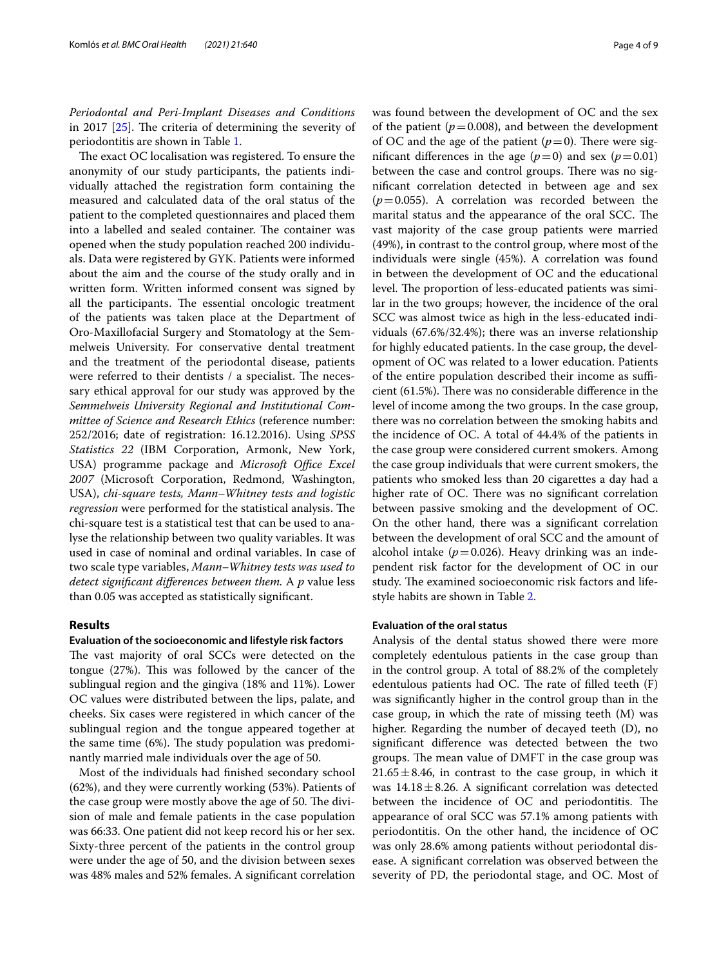*Periodontal and Peri-Implant Diseases and Conditions* in 2017  $[25]$  $[25]$  $[25]$ . The criteria of determining the severity of periodontitis are shown in Table [1.](#page-2-1)

The exact OC localisation was registered. To ensure the anonymity of our study participants, the patients individually attached the registration form containing the measured and calculated data of the oral status of the patient to the completed questionnaires and placed them into a labelled and sealed container. The container was opened when the study population reached 200 individuals. Data were registered by GYK. Patients were informed about the aim and the course of the study orally and in written form. Written informed consent was signed by all the participants. The essential oncologic treatment of the patients was taken place at the Department of Oro-Maxillofacial Surgery and Stomatology at the Semmelweis University. For conservative dental treatment and the treatment of the periodontal disease, patients were referred to their dentists  $/$  a specialist. The necessary ethical approval for our study was approved by the *Semmelweis University Regional and Institutional Committee of Science and Research Ethics* (reference number: 252/2016; date of registration: 16.12.2016). Using *SPSS Statistics 22* (IBM Corporation, Armonk, New York, USA) programme package and *Microsoft Office Excel 2007* (Microsoft Corporation, Redmond, Washington, USA), *chi-square tests, Mann–Whitney tests and logistic regression* were performed for the statistical analysis. The chi-square test is a statistical test that can be used to analyse the relationship between two quality variables. It was used in case of nominal and ordinal variables. In case of two scale type variables, *Mann–Whitney tests was used to detect signifcant diferences between them.* A *p* value less than 0.05 was accepted as statistically signifcant.

### **Results**

#### **Evaluation of the socioeconomic and lifestyle risk factors**

The vast majority of oral SCCs were detected on the tongue (27%). This was followed by the cancer of the sublingual region and the gingiva (18% and 11%). Lower OC values were distributed between the lips, palate, and cheeks. Six cases were registered in which cancer of the sublingual region and the tongue appeared together at the same time  $(6\%)$ . The study population was predominantly married male individuals over the age of 50.

Most of the individuals had fnished secondary school (62%), and they were currently working (53%). Patients of the case group were mostly above the age of 50. The division of male and female patients in the case population was 66:33. One patient did not keep record his or her sex. Sixty-three percent of the patients in the control group were under the age of 50, and the division between sexes was 48% males and 52% females. A signifcant correlation was found between the development of OC and the sex of the patient  $(p=0.008)$ , and between the development of OC and the age of the patient  $(p=0)$ . There were significant differences in the age  $(p=0)$  and sex  $(p=0.01)$ between the case and control groups. There was no signifcant correlation detected in between age and sex  $(p=0.055)$ . A correlation was recorded between the marital status and the appearance of the oral SCC. The vast majority of the case group patients were married (49%), in contrast to the control group, where most of the individuals were single (45%). A correlation was found in between the development of OC and the educational level. The proportion of less-educated patients was similar in the two groups; however, the incidence of the oral SCC was almost twice as high in the less-educated individuals (67.6%/32.4%); there was an inverse relationship for highly educated patients. In the case group, the development of OC was related to a lower education. Patients of the entire population described their income as sufficient  $(61.5\%)$ . There was no considerable difference in the level of income among the two groups. In the case group, there was no correlation between the smoking habits and the incidence of OC. A total of 44.4% of the patients in the case group were considered current smokers. Among the case group individuals that were current smokers, the patients who smoked less than 20 cigarettes a day had a higher rate of OC. There was no significant correlation between passive smoking and the development of OC. On the other hand, there was a signifcant correlation between the development of oral SCC and the amount of alcohol intake  $(p=0.026)$ . Heavy drinking was an independent risk factor for the development of OC in our study. The examined socioeconomic risk factors and lifestyle habits are shown in Table [2](#page-2-0).

## **Evaluation of the oral status**

Analysis of the dental status showed there were more completely edentulous patients in the case group than in the control group. A total of 88.2% of the completely edentulous patients had OC. The rate of filled teeth  $(F)$ was signifcantly higher in the control group than in the case group, in which the rate of missing teeth (M) was higher. Regarding the number of decayed teeth (D), no signifcant diference was detected between the two groups. The mean value of DMFT in the case group was  $21.65 \pm 8.46$ , in contrast to the case group, in which it was  $14.18 \pm 8.26$ . A significant correlation was detected between the incidence of OC and periodontitis. The appearance of oral SCC was 57.1% among patients with periodontitis. On the other hand, the incidence of OC was only 28.6% among patients without periodontal disease. A signifcant correlation was observed between the severity of PD, the periodontal stage, and OC. Most of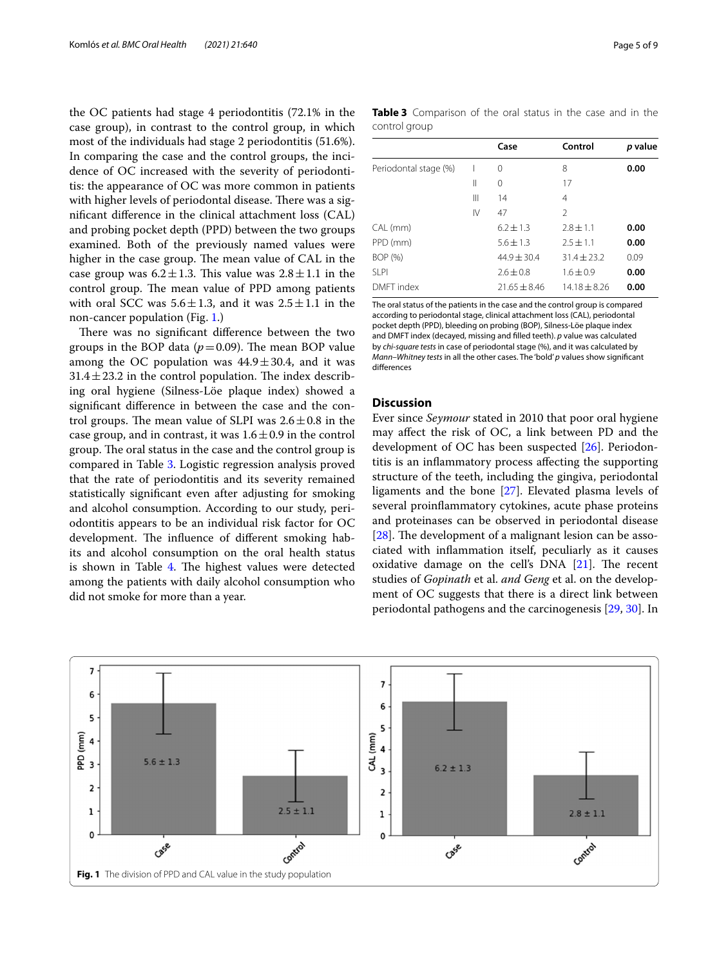the OC patients had stage 4 periodontitis (72.1% in the case group), in contrast to the control group, in which most of the individuals had stage 2 periodontitis (51.6%). In comparing the case and the control groups, the incidence of OC increased with the severity of periodontitis: the appearance of OC was more common in patients with higher levels of periodontal disease. There was a signifcant diference in the clinical attachment loss (CAL) and probing pocket depth (PPD) between the two groups examined. Both of the previously named values were higher in the case group. The mean value of CAL in the case group was  $6.2 \pm 1.3$ . This value was  $2.8 \pm 1.1$  in the control group. The mean value of PPD among patients with oral SCC was  $5.6 \pm 1.3$ , and it was  $2.5 \pm 1.1$  in the non-cancer population (Fig. [1.](#page-4-0))

There was no significant difference between the two groups in the BOP data  $(p=0.09)$ . The mean BOP value among the OC population was  $44.9 \pm 30.4$ , and it was  $31.4 \pm 23.2$  in the control population. The index describing oral hygiene (Silness-Löe plaque index) showed a signifcant diference in between the case and the control groups. The mean value of SLPI was  $2.6 \pm 0.8$  in the case group, and in contrast, it was  $1.6 \pm 0.9$  in the control group. The oral status in the case and the control group is compared in Table [3.](#page-4-1) Logistic regression analysis proved that the rate of periodontitis and its severity remained statistically signifcant even after adjusting for smoking and alcohol consumption. According to our study, periodontitis appears to be an individual risk factor for OC development. The influence of different smoking habits and alcohol consumption on the oral health status is shown in Table [4](#page-5-0). The highest values were detected among the patients with daily alcohol consumption who did not smoke for more than a year.

<span id="page-4-1"></span>

|               | Table 3 Comparison of the oral status in the case and in the |  |  |  |  |  |
|---------------|--------------------------------------------------------------|--|--|--|--|--|
| control group |                                                              |  |  |  |  |  |

|                       |    | Case           | Control        | p value |
|-----------------------|----|----------------|----------------|---------|
| Periodontal stage (%) |    | 0              | 8              | 0.00    |
|                       | Ш  | 0              | 17             |         |
|                       | Ш  | 14             | 4              |         |
|                       | IV | 47             | $\mathfrak{D}$ |         |
| CAL (mm)              |    | $6.2 + 1.3$    | $2.8 + 1.1$    | 0.00    |
| PPD (mm)              |    | $5.6 + 1.3$    | $2.5 + 1.1$    | 0.00    |
| BOP (%)               |    | $44.9 + 30.4$  | $31.4 + 23.2$  | 0.09    |
| SI <sub>PI</sub>      |    | $2.6 + 0.8$    | $1.6 + 0.9$    | 0.00    |
| DMFT index            |    | $21.65 + 8.46$ | $14.18 + 8.26$ | 0.00    |
|                       |    |                |                |         |

The oral status of the patients in the case and the control group is compared according to periodontal stage, clinical attachment loss (CAL), periodontal pocket depth (PPD), bleeding on probing (BOP), Silness-Löe plaque index and DMFT index (decayed, missing and flled teeth). *p* value was calculated by *chi-square tests* in case of periodontal stage (%), and it was calculated by *Mann–Whitney tests* in all the other cases. The 'bold' *p* values show signifcant diferences

#### **Discussion**

Ever since *Seymour* stated in 2010 that poor oral hygiene may afect the risk of OC, a link between PD and the development of OC has been suspected [[26\]](#page-7-24). Periodontitis is an infammatory process afecting the supporting structure of the teeth, including the gingiva, periodontal ligaments and the bone [[27](#page-7-25)]. Elevated plasma levels of several proinfammatory cytokines, acute phase proteins and proteinases can be observed in periodontal disease [ $28$ ]. The development of a malignant lesion can be associated with infammation itself, peculiarly as it causes oxidative damage on the cell's  $DNA$   $[21]$  $[21]$ . The recent studies of *Gopinath* et al. *and Geng* et al. on the development of OC suggests that there is a direct link between periodontal pathogens and the carcinogenesis [[29,](#page-7-27) [30\]](#page-7-28). In

<span id="page-4-0"></span>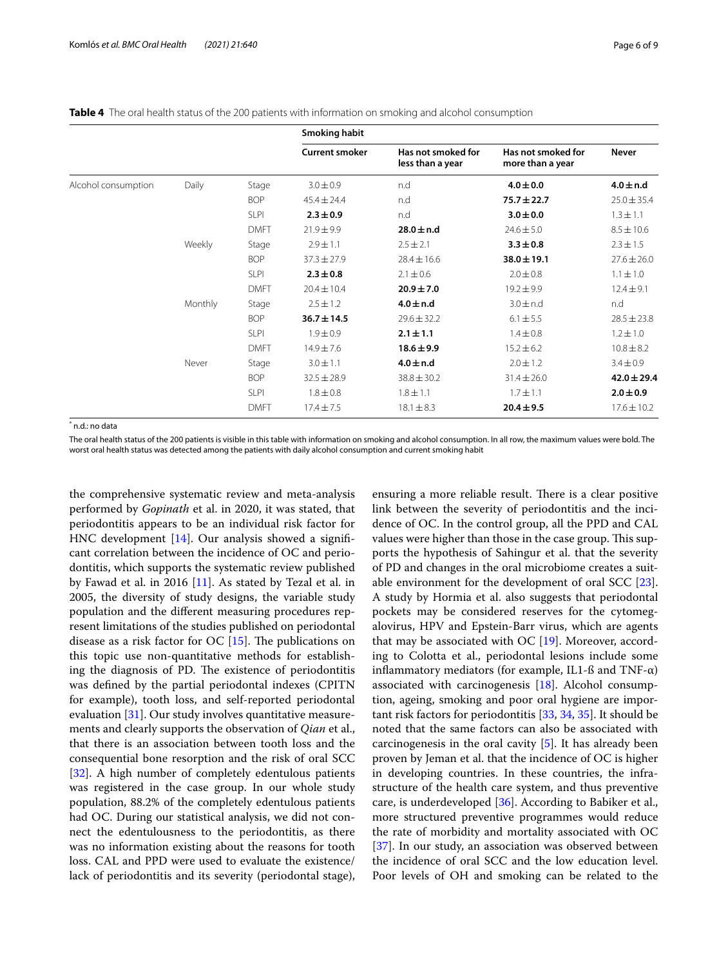<span id="page-5-0"></span>**Table 4** The oral health status of the 200 patients with information on smoking and alcohol consumption

|                     |         |             | Smoking habit         |                                        |                                        |                 |
|---------------------|---------|-------------|-----------------------|----------------------------------------|----------------------------------------|-----------------|
|                     |         |             | <b>Current smoker</b> | Has not smoked for<br>less than a year | Has not smoked for<br>more than a year | <b>Never</b>    |
| Alcohol consumption | Daily   | Stage       | $3.0 \pm 0.9$         | n.d                                    | $4.0 \pm 0.0$                          | $4.0 \pm n.d$   |
|                     |         | <b>BOP</b>  | $45.4 \pm 24.4$       | n.d                                    | $75.7 \pm 22.7$                        | $25.0 \pm 35.4$ |
|                     |         | SLPI        | $2.3 \pm 0.9$         | n.d                                    | $3.0 \pm 0.0$                          | $1.3 \pm 1.1$   |
|                     |         | <b>DMFT</b> | $21.9 \pm 9.9$        | $28.0 \pm n.d$                         | $24.6 \pm 5.0$                         | $8.5 \pm 10.6$  |
|                     | Weekly  | Stage       | $2.9 \pm 1.1$         | $2.5 \pm 2.1$                          | $3.3 \pm 0.8$                          | $2.3 \pm 1.5$   |
|                     |         | <b>BOP</b>  | $37.3 \pm 27.9$       | $28.4 \pm 16.6$                        | $38.0 \pm 19.1$                        | $27.6 \pm 26.0$ |
|                     |         | <b>SLPI</b> | $2.3 \pm 0.8$         | $2.1 \pm 0.6$                          | $2.0 \pm 0.8$                          | $1.1 \pm 1.0$   |
|                     |         | <b>DMFT</b> | $20.4 \pm 10.4$       | $20.9 \pm 7.0$                         | $19.2 \pm 9.9$                         | $12.4 \pm 9.1$  |
|                     | Monthly | Stage       | $2.5 \pm 1.2$         | $4.0 \pm n.d$                          | $3.0 \pm n.d$                          | n.d             |
|                     |         | <b>BOP</b>  | $36.7 \pm 14.5$       | $29.6 \pm 32.2$                        | $6.1 \pm 5.5$                          | $28.5 \pm 23.8$ |
|                     |         | SLPI        | $1.9 \pm 0.9$         | $2.1 \pm 1.1$                          | $1.4 \pm 0.8$                          | $1.2 \pm 1.0$   |
|                     |         | <b>DMFT</b> | $14.9 \pm 7.6$        | $18.6 \pm 9.9$                         | $15.2 \pm 6.2$                         | $10.8 \pm 8.2$  |
|                     | Never   | Stage       | $3.0 \pm 1.1$         | $4.0 \pm n.d$                          | $2.0 \pm 1.2$                          | $3.4 \pm 0.9$   |
|                     |         | <b>BOP</b>  | $32.5 \pm 28.9$       | $38.8 \pm 30.2$                        | $31.4 \pm 26.0$                        | $42.0 \pm 29.4$ |
|                     |         | <b>SLPI</b> | $1.8 \pm 0.8$         | $1.8 \pm 1.1$                          | $1.7 \pm 1.1$                          | $2.0 \pm 0.9$   |
|                     |         | <b>DMFT</b> | $17.4 \pm 7.5$        | $18.1 \pm 8.3$                         | $20.4 \pm 9.5$                         | $17.6 \pm 10.2$ |

\* n.d.: no data

The oral health status of the 200 patients is visible in this table with information on smoking and alcohol consumption. In all row, the maximum values were bold. The worst oral health status was detected among the patients with daily alcohol consumption and current smoking habit

the comprehensive systematic review and meta-analysis performed by *Gopinath* et al. in 2020, it was stated, that periodontitis appears to be an individual risk factor for HNC development [[14\]](#page-7-12). Our analysis showed a significant correlation between the incidence of OC and periodontitis, which supports the systematic review published by Fawad et al. in 2016  $[11]$  $[11]$ . As stated by Tezal et al. in 2005, the diversity of study designs, the variable study population and the diferent measuring procedures represent limitations of the studies published on periodontal disease as a risk factor for  $OC$  [[15\]](#page-7-13). The publications on this topic use non-quantitative methods for establishing the diagnosis of PD. The existence of periodontitis was defned by the partial periodontal indexes (CPITN for example), tooth loss, and self-reported periodontal evaluation [[31\]](#page-7-29). Our study involves quantitative measurements and clearly supports the observation of *Qian* et al., that there is an association between tooth loss and the consequential bone resorption and the risk of oral SCC [[32\]](#page-7-30). A high number of completely edentulous patients was registered in the case group. In our whole study population, 88.2% of the completely edentulous patients had OC. During our statistical analysis, we did not connect the edentulousness to the periodontitis, as there was no information existing about the reasons for tooth loss. CAL and PPD were used to evaluate the existence/ lack of periodontitis and its severity (periodontal stage),

ensuring a more reliable result. There is a clear positive link between the severity of periodontitis and the incidence of OC. In the control group, all the PPD and CAL values were higher than those in the case group. This supports the hypothesis of Sahingur et al. that the severity of PD and changes in the oral microbiome creates a suitable environment for the development of oral SCC [\[23](#page-7-21)]. A study by Hormia et al. also suggests that periodontal pockets may be considered reserves for the cytomegalovirus, HPV and Epstein-Barr virus, which are agents that may be associated with OC  $[19]$  $[19]$ . Moreover, according to Colotta et al., periodontal lesions include some inflammatory mediators (for example, IL1- $\beta$  and TNF- $\alpha$ ) associated with carcinogenesis [\[18](#page-7-16)]. Alcohol consumption, ageing, smoking and poor oral hygiene are important risk factors for periodontitis [[33,](#page-7-31) [34](#page-7-32), [35\]](#page-7-33). It should be noted that the same factors can also be associated with carcinogenesis in the oral cavity [\[5](#page-7-4)]. It has already been proven by Jeman et al. that the incidence of OC is higher in developing countries. In these countries, the infrastructure of the health care system, and thus preventive care, is underdeveloped [\[36\]](#page-7-34). According to Babiker et al., more structured preventive programmes would reduce the rate of morbidity and mortality associated with OC [[37\]](#page-7-35). In our study, an association was observed between the incidence of oral SCC and the low education level. Poor levels of OH and smoking can be related to the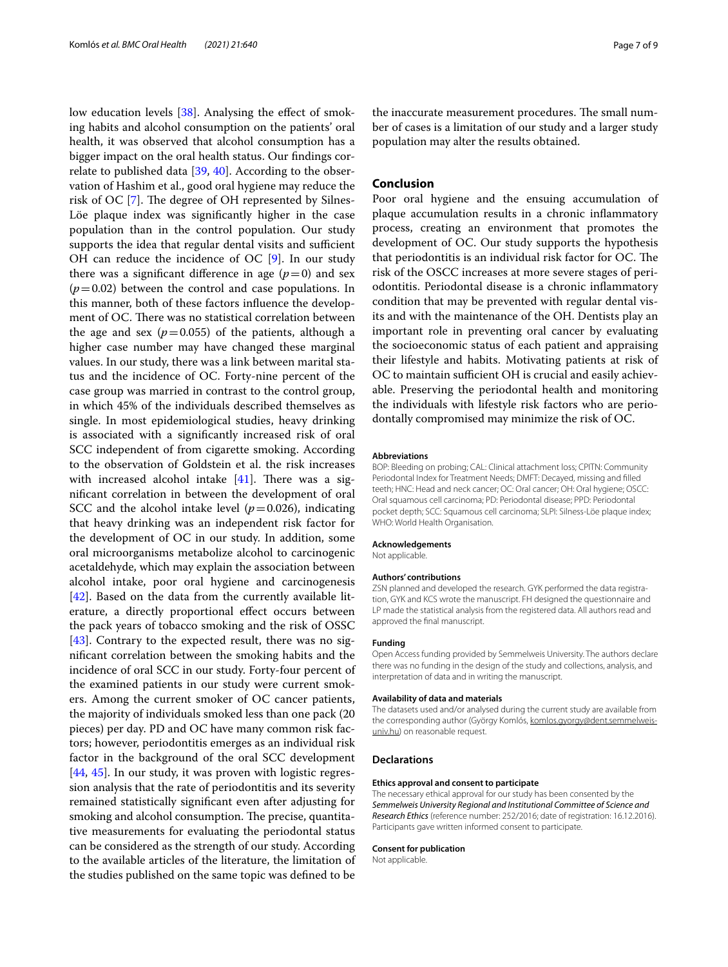low education levels [\[38](#page-7-36)]. Analysing the effect of smoking habits and alcohol consumption on the patients' oral health, it was observed that alcohol consumption has a bigger impact on the oral health status. Our fndings correlate to published data [[39](#page-7-37), [40](#page-7-38)]. According to the observation of Hashim et al., good oral hygiene may reduce the risk of OC  $[7]$  $[7]$ . The degree of OH represented by Silnes-Löe plaque index was signifcantly higher in the case population than in the control population. Our study supports the idea that regular dental visits and sufficient OH can reduce the incidence of OC [\[9](#page-7-8)]. In our study there was a significant difference in age  $(p=0)$  and sex  $(p=0.02)$  between the control and case populations. In this manner, both of these factors infuence the development of OC. There was no statistical correlation between the age and sex  $(p=0.055)$  of the patients, although a higher case number may have changed these marginal values. In our study, there was a link between marital status and the incidence of OC. Forty-nine percent of the case group was married in contrast to the control group, in which 45% of the individuals described themselves as single. In most epidemiological studies, heavy drinking is associated with a signifcantly increased risk of oral SCC independent of from cigarette smoking. According to the observation of Goldstein et al. the risk increases with increased alcohol intake  $[41]$  $[41]$  $[41]$ . There was a signifcant correlation in between the development of oral SCC and the alcohol intake level  $(p=0.026)$ , indicating that heavy drinking was an independent risk factor for the development of OC in our study. In addition, some oral microorganisms metabolize alcohol to carcinogenic acetaldehyde, which may explain the association between alcohol intake, poor oral hygiene and carcinogenesis [[42\]](#page-8-1). Based on the data from the currently available literature, a directly proportional efect occurs between the pack years of tobacco smoking and the risk of OSSC [[43\]](#page-8-2). Contrary to the expected result, there was no signifcant correlation between the smoking habits and the incidence of oral SCC in our study. Forty-four percent of the examined patients in our study were current smokers. Among the current smoker of OC cancer patients, the majority of individuals smoked less than one pack (20 pieces) per day. PD and OC have many common risk factors; however, periodontitis emerges as an individual risk factor in the background of the oral SCC development [[44,](#page-8-3) [45\]](#page-8-4). In our study, it was proven with logistic regression analysis that the rate of periodontitis and its severity remained statistically signifcant even after adjusting for smoking and alcohol consumption. The precise, quantitative measurements for evaluating the periodontal status can be considered as the strength of our study. According to the available articles of the literature, the limitation of the studies published on the same topic was defned to be

the inaccurate measurement procedures. The small number of cases is a limitation of our study and a larger study population may alter the results obtained.

#### **Conclusion**

Poor oral hygiene and the ensuing accumulation of plaque accumulation results in a chronic infammatory process, creating an environment that promotes the development of OC. Our study supports the hypothesis that periodontitis is an individual risk factor for  $OC$ . The risk of the OSCC increases at more severe stages of periodontitis. Periodontal disease is a chronic infammatory condition that may be prevented with regular dental visits and with the maintenance of the OH. Dentists play an important role in preventing oral cancer by evaluating the socioeconomic status of each patient and appraising their lifestyle and habits. Motivating patients at risk of OC to maintain sufficient OH is crucial and easily achievable. Preserving the periodontal health and monitoring the individuals with lifestyle risk factors who are periodontally compromised may minimize the risk of OC.

#### **Abbreviations**

BOP: Bleeding on probing; CAL: Clinical attachment loss; CPITN: Community Periodontal Index for Treatment Needs; DMFT: Decayed, missing and flled teeth; HNC: Head and neck cancer; OC: Oral cancer; OH: Oral hygiene; OSCC: Oral squamous cell carcinoma; PD: Periodontal disease; PPD: Periodontal pocket depth; SCC: Squamous cell carcinoma; SLPI: Silness-Löe plaque index; WHO: World Health Organisation.

#### **Acknowledgements**

Not applicable.

#### **Authors' contributions**

ZSN planned and developed the research. GYK performed the data registration, GYK and KCS wrote the manuscript. FH designed the questionnaire and LP made the statistical analysis from the registered data. All authors read and approved the fnal manuscript.

#### **Funding**

Open Access funding provided by Semmelweis University. The authors declare there was no funding in the design of the study and collections, analysis, and interpretation of data and in writing the manuscript.

#### **Availability of data and materials**

The datasets used and/or analysed during the current study are available from the corresponding author (György Komlós, komlos.gyorgy@dent.semmelweisuniv.hu) on reasonable request.

#### **Declarations**

#### **Ethics approval and consent to participate**

The necessary ethical approval for our study has been consented by the *Semmelweis University Regional and Institutional Committee of Science and Research Ethics* (reference number: 252/2016; date of registration: 16.12.2016). Participants gave written informed consent to participate.

#### **Consent for publication**

Not applicable.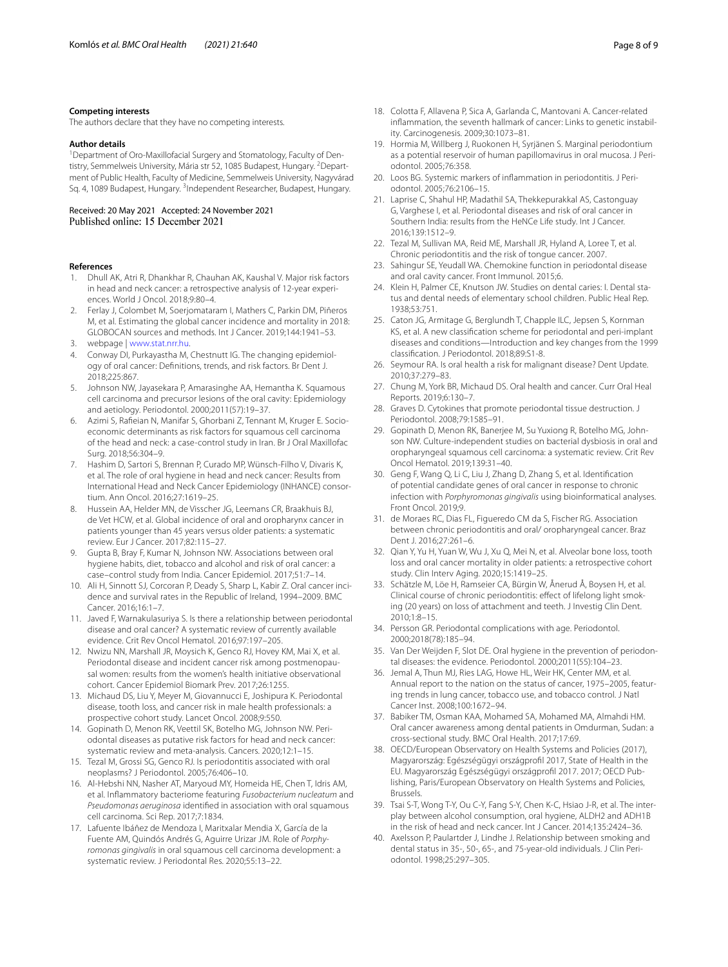#### **Competing interests**

The authors declare that they have no competing interests.

#### **Author details**

<sup>1</sup> Department of Oro-Maxillofacial Surgery and Stomatology, Faculty of Dentistry, Semmelweis University, Mária str 52, 1085 Budapest, Hungary. <sup>2</sup>Department of Public Health, Faculty of Medicine, Semmelweis University, Nagyvárad Sq. 4, 1089 Budapest, Hungary. <sup>3</sup>Independent Researcher, Budapest, Hungary.

## Received: 20 May 2021 Accepted: 24 November 2021

#### **References**

- <span id="page-7-0"></span>1. Dhull AK, Atri R, Dhankhar R, Chauhan AK, Kaushal V. Major risk factors in head and neck cancer: a retrospective analysis of 12-year experiences. World J Oncol. 2018;9:80–4.
- <span id="page-7-1"></span>2. Ferlay J, Colombet M, Soerjomataram I, Mathers C, Parkin DM, Piñeros M, et al. Estimating the global cancer incidence and mortality in 2018: GLOBOCAN sources and methods. Int J Cancer. 2019;144:1941–53.
- <span id="page-7-2"></span>3. webpage | [www.stat.nrr.hu.](http://www.stat.nrr.hu)
- <span id="page-7-3"></span>4. Conway DI, Purkayastha M, Chestnutt IG. The changing epidemiology of oral cancer: Defnitions, trends, and risk factors. Br Dent J. 2018;225:867.
- <span id="page-7-4"></span>5. Johnson NW, Jayasekara P, Amarasinghe AA, Hemantha K. Squamous cell carcinoma and precursor lesions of the oral cavity: Epidemiology and aetiology. Periodontol. 2000;2011(57):19–37.
- <span id="page-7-5"></span>6. Azimi S, Rafeian N, Manifar S, Ghorbani Z, Tennant M, Kruger E. Socioeconomic determinants as risk factors for squamous cell carcinoma of the head and neck: a case-control study in Iran. Br J Oral Maxillofac Surg. 2018;56:304–9.
- <span id="page-7-6"></span>7. Hashim D, Sartori S, Brennan P, Curado MP, Wünsch-Filho V, Divaris K, et al. The role of oral hygiene in head and neck cancer: Results from International Head and Neck Cancer Epidemiology (INHANCE) consortium. Ann Oncol. 2016;27:1619–25.
- <span id="page-7-7"></span>8. Hussein AA, Helder MN, de Visscher JG, Leemans CR, Braakhuis BJ, de Vet HCW, et al. Global incidence of oral and oropharynx cancer in patients younger than 45 years versus older patients: a systematic review. Eur J Cancer. 2017;82:115–27.
- <span id="page-7-8"></span>9. Gupta B, Bray F, Kumar N, Johnson NW. Associations between oral hygiene habits, diet, tobacco and alcohol and risk of oral cancer: a case–control study from India. Cancer Epidemiol. 2017;51:7–14.
- <span id="page-7-9"></span>10. Ali H, Sinnott SJ, Corcoran P, Deady S, Sharp L, Kabir Z. Oral cancer incidence and survival rates in the Republic of Ireland, 1994–2009. BMC Cancer. 2016;16:1–7.
- <span id="page-7-10"></span>11. Javed F, Warnakulasuriya S. Is there a relationship between periodontal disease and oral cancer? A systematic review of currently available evidence. Crit Rev Oncol Hematol. 2016;97:197–205.
- <span id="page-7-11"></span>12. Nwizu NN, Marshall JR, Moysich K, Genco RJ, Hovey KM, Mai X, et al. Periodontal disease and incident cancer risk among postmenopausal women: results from the women's health initiative observational cohort. Cancer Epidemiol Biomark Prev. 2017;26:1255.
- 13. Michaud DS, Liu Y, Meyer M, Giovannucci E, Joshipura K. Periodontal disease, tooth loss, and cancer risk in male health professionals: a prospective cohort study. Lancet Oncol. 2008;9:550.
- <span id="page-7-12"></span>14. Gopinath D, Menon RK, Veettil SK, Botelho MG, Johnson NW. Periodontal diseases as putative risk factors for head and neck cancer: systematic review and meta-analysis. Cancers. 2020;12:1–15.
- <span id="page-7-13"></span>15. Tezal M, Grossi SG, Genco RJ. Is periodontitis associated with oral neoplasms? J Periodontol. 2005;76:406–10.
- <span id="page-7-14"></span>16. Al-Hebshi NN, Nasher AT, Maryoud MY, Homeida HE, Chen T, Idris AM, et al. Infammatory bacteriome featuring *Fusobacterium nucleatum* and *Pseudomonas aeruginosa* identifed in association with oral squamous cell carcinoma. Sci Rep. 2017;7:1834.
- <span id="page-7-15"></span>17. Lafuente Ibáñez de Mendoza I, Maritxalar Mendia X, García de la Fuente AM, Quindós Andrés G, Aguirre Urizar JM. Role of *Porphyromonas gingivalis* in oral squamous cell carcinoma development: a systematic review. J Periodontal Res. 2020;55:13–22.
- <span id="page-7-16"></span>18. Colotta F, Allavena P, Sica A, Garlanda C, Mantovani A. Cancer-related infammation, the seventh hallmark of cancer: Links to genetic instability. Carcinogenesis. 2009;30:1073–81.
- <span id="page-7-17"></span>19. Hormia M, Willberg J, Ruokonen H, Syrjänen S. Marginal periodontium as a potential reservoir of human papillomavirus in oral mucosa. J Periodontol. 2005;76:358.
- <span id="page-7-18"></span>20. Loos BG. Systemic markers of infammation in periodontitis. J Periodontol. 2005;76:2106–15.
- <span id="page-7-19"></span>21. Laprise C, Shahul HP, Madathil SA, Thekkepurakkal AS, Castonguay G, Varghese I, et al. Periodontal diseases and risk of oral cancer in Southern India: results from the HeNCe Life study. Int J Cancer. 2016;139:1512–9.
- <span id="page-7-20"></span>22. Tezal M, Sullivan MA, Reid ME, Marshall JR, Hyland A, Loree T, et al. Chronic periodontitis and the risk of tongue cancer. 2007.
- <span id="page-7-21"></span>23. Sahingur SE, Yeudall WA. Chemokine function in periodontal disease and oral cavity cancer. Front Immunol. 2015;6.
- <span id="page-7-22"></span>24. Klein H, Palmer CE, Knutson JW. Studies on dental caries: I. Dental status and dental needs of elementary school children. Public Heal Rep. 1938;53:751.
- <span id="page-7-23"></span>25. Caton JG, Armitage G, Berglundh T, Chapple ILC, Jepsen S, Kornman KS, et al. A new classifcation scheme for periodontal and peri-implant diseases and conditions—Introduction and key changes from the 1999 classifcation. J Periodontol. 2018;89:S1-8.
- <span id="page-7-24"></span>26. Seymour RA. Is oral health a risk for malignant disease? Dent Update. 2010;37:279–83.
- <span id="page-7-25"></span>27. Chung M, York BR, Michaud DS. Oral health and cancer. Curr Oral Heal Reports. 2019;6:130–7.
- <span id="page-7-26"></span>28. Graves D. Cytokines that promote periodontal tissue destruction. J Periodontol. 2008;79:1585–91.
- <span id="page-7-27"></span>29. Gopinath D, Menon RK, Banerjee M, Su Yuxiong R, Botelho MG, Johnson NW. Culture-independent studies on bacterial dysbiosis in oral and oropharyngeal squamous cell carcinoma: a systematic review. Crit Rev Oncol Hematol. 2019;139:31–40.
- <span id="page-7-28"></span>30. Geng F, Wang Q, Li C, Liu J, Zhang D, Zhang S, et al. Identifcation of potential candidate genes of oral cancer in response to chronic infection with *Porphyromonas gingivalis* using bioinformatical analyses. Front Oncol. 2019;9.
- <span id="page-7-29"></span>31. de Moraes RC, Dias FL, Figueredo CM da S, Fischer RG. Association between chronic periodontitis and oral/ oropharyngeal cancer. Braz Dent J. 2016;27:261–6.
- <span id="page-7-30"></span>32. Qian Y, Yu H, Yuan W, Wu J, Xu Q, Mei N, et al. Alveolar bone loss, tooth loss and oral cancer mortality in older patients: a retrospective cohort study. Clin Interv Aging. 2020;15:1419–25.
- <span id="page-7-31"></span>33. Schätzle M, Löe H, Ramseier CA, Bürgin W, Ånerud Å, Boysen H, et al. Clinical course of chronic periodontitis: efect of lifelong light smoking (20 years) on loss of attachment and teeth. J Investig Clin Dent. 2010;1:8–15.
- <span id="page-7-32"></span>34. Persson GR. Periodontal complications with age. Periodontol. 2000;2018(78):185–94.
- <span id="page-7-33"></span>35. Van Der Weijden F, Slot DE. Oral hygiene in the prevention of periodontal diseases: the evidence. Periodontol. 2000;2011(55):104–23.
- <span id="page-7-34"></span>36. Jemal A, Thun MJ, Ries LAG, Howe HL, Weir HK, Center MM, et al. Annual report to the nation on the status of cancer, 1975–2005, featuring trends in lung cancer, tobacco use, and tobacco control. J Natl Cancer Inst. 2008;100:1672–94.
- <span id="page-7-35"></span>37. Babiker TM, Osman KAA, Mohamed SA, Mohamed MA, Almahdi HM. Oral cancer awareness among dental patients in Omdurman, Sudan: a cross-sectional study. BMC Oral Health. 2017;17:69.
- <span id="page-7-36"></span>38. OECD/European Observatory on Health Systems and Policies (2017), Magyarország: Egészségügyi országprofl 2017, State of Health in the EU. Magyarország Egészségügyi országprofl 2017. 2017; OECD Publishing, Paris/European Observatory on Health Systems and Policies, Brussels.
- <span id="page-7-37"></span>39. Tsai S-T, Wong T-Y, Ou C-Y, Fang S-Y, Chen K-C, Hsiao J-R, et al. The interplay between alcohol consumption, oral hygiene, ALDH2 and ADH1B in the risk of head and neck cancer. Int J Cancer. 2014;135:2424–36.
- <span id="page-7-38"></span>40. Axelsson P, Paulartder J, Lindhe J. Relationship between smoking and dental status in 35-, 50-, 65-, and 75-year-old individuals. J Clin Periodontol. 1998;25:297–305.